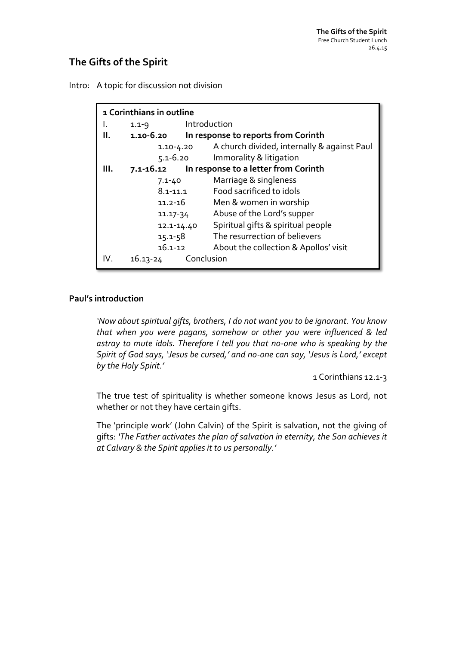# **The Gifts of the Spirit**

Intro: A topic for discussion not division

| 1 Corinthians in outline |               |              |                                             |  |  |
|--------------------------|---------------|--------------|---------------------------------------------|--|--|
|                          | $1.1 - 9$     | Introduction |                                             |  |  |
| Ш.                       | 1.10-6.20     |              | In response to reports from Corinth         |  |  |
|                          | $1.10 - 4.20$ |              | A church divided, internally & against Paul |  |  |
|                          | $5.1 - 6.20$  |              | Immorality & litigation                     |  |  |
| Ш.                       | 7.1-16.12     |              | In response to a letter from Corinth        |  |  |
|                          | $7.1 - 40$    |              | Marriage & singleness                       |  |  |
|                          | $8.1 - 11.1$  |              | Food sacrificed to idols                    |  |  |
|                          | $11.2 - 16$   |              | Men & women in worship                      |  |  |
|                          | $11.17 - 34$  |              | Abuse of the Lord's supper                  |  |  |
|                          | 12.1-14.40    |              | Spiritual gifts & spiritual people          |  |  |
|                          | $15.1 - 58$   |              | The resurrection of believers               |  |  |
|                          | $16.1 - 12$   |              | About the collection & Apollos' visit       |  |  |
| IV.                      | $16.13 - 24$  | Conclusion   |                                             |  |  |

#### **Paul's introduction**

*'Now about spiritual gifts, brothers, I do not want you to be ignorant. You know that when you were pagans, somehow or other you were influenced & led astray to mute idols. Therefore I tell you that no-one who is speaking by the Spirit of God says, 'Jesus be cursed,' and no-one can say, 'Jesus is Lord,' except by the Holy Spirit.'*

1 Corinthians 12.1-3

The true test of spirituality is whether someone knows Jesus as Lord, not whether or not they have certain gifts.

The 'principle work' (John Calvin) of the Spirit is salvation, not the giving of gifts: *'The Father activates the plan of salvation in eternity, the Son achieves it at Calvary & the Spirit applies it to us personally.'*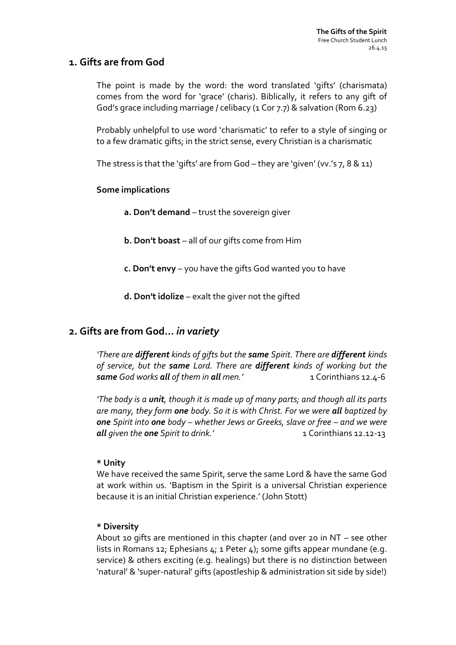### **1. Gifts are from God**

The point is made by the word: the word translated 'gifts' (charismata) comes from the word for 'grace' (charis). Biblically, it refers to any gift of God's grace including marriage / celibacy (1 Cor 7.7) & salvation (Rom 6.23)

Probably unhelpful to use word 'charismatic' to refer to a style of singing or to a few dramatic gifts; in the strict sense, every Christian is a charismatic

The stress is that the 'gifts' are from God – they are 'given' (vv.'s 7, 8 & 11)

#### **Some implications**

**a. Don't demand** – trust the sovereign giver

**b. Don't boast** – all of our gifts come from Him

- **c. Don't envy**  you have the gifts God wanted you to have
- **d. Don't idolize**  exalt the giver not the gifted

### **2. Gifts are from God…** *in variety*

*'There are different kinds of gifts but the same Spirit. There are different kinds of service, but the same Lord. There are different kinds of working but the same God works all of them in all men.'* 1 Corinthians 12.4-6

*'The body is a unit, though it is made up of many parts; and though all its parts are many, they form one body. So it is with Christ. For we were all baptized by one Spirit into one body – whether Jews or Greeks, slave or free – and we were all given the one Spirit to drink.'* 1 Corinthians 12.12-13

#### **\* Unity**

We have received the same Spirit, serve the same Lord & have the same God at work within us. 'Baptism in the Spirit is a universal Christian experience because it is an initial Christian experience.' (John Stott)

#### **\* Diversity**

About 10 gifts are mentioned in this chapter (and over 20 in NT – see other lists in Romans 12; Ephesians 4; 1 Peter 4); some gifts appear mundane (e.g. service) & others exciting (e.g. healings) but there is no distinction between 'natural' & 'super-natural' gifts (apostleship & administration sit side by side!)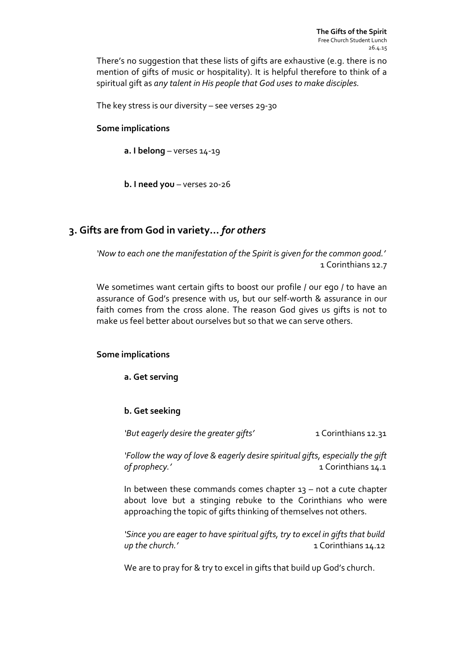There's no suggestion that these lists of gifts are exhaustive (e.g. there is no mention of gifts of music or hospitality). It is helpful therefore to think of a spiritual gift as *any talent in His people that God uses to make disciples.*

The key stress is our diversity – see verses 29-30

#### **Some implications**

**a. I belong** – verses 14-19

**b. I need you** – verses 20-26

## **3. Gifts are from God in variety…** *for others*

*'Now to each one the manifestation of the Spirit is given for the common good.'* 1 Corinthians 12.7

We sometimes want certain gifts to boost our profile / our ego / to have an assurance of God's presence with us, but our self-worth & assurance in our faith comes from the cross alone. The reason God gives us gifts is not to make us feel better about ourselves but so that we can serve others.

#### **Some implications**

**a. Get serving**

#### **b. Get seeking**

*'But eagerly desire the greater gifts'* 1 Corinthians 12.31

*'Follow the way of love & eagerly desire spiritual gifts, especially the gift of prophecy.'* 1 Corinthians 14.1

In between these commands comes chapter  $13 - not$  a cute chapter about love but a stinging rebuke to the Corinthians who were approaching the topic of gifts thinking of themselves not others.

*'Since you are eager to have spiritual gifts, try to excel in gifts that build up the church.'* 1 Corinthians 14.12

We are to pray for & try to excel in gifts that build up God's church.